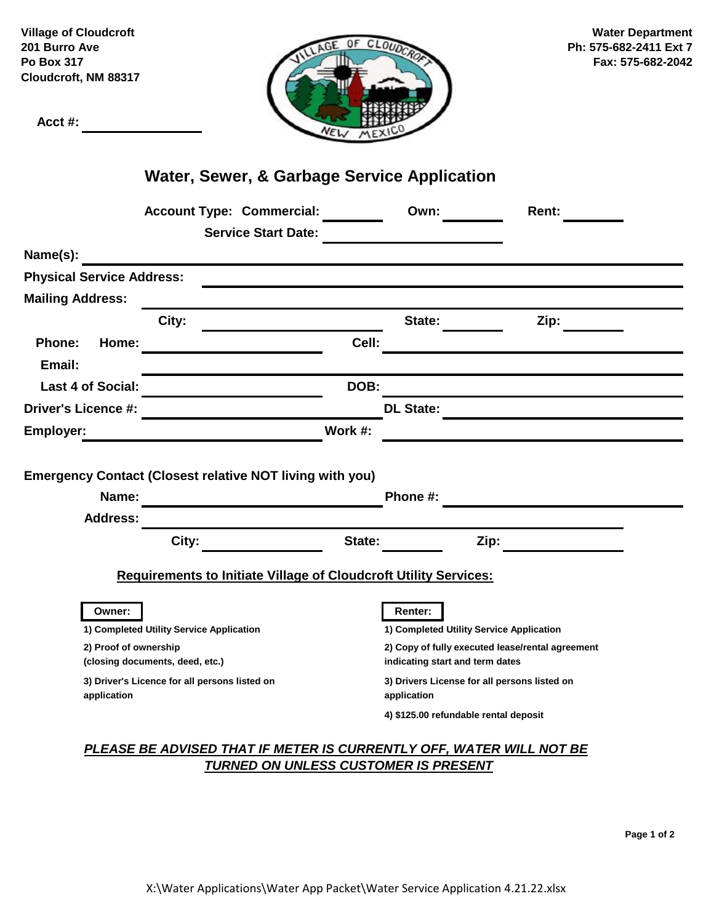| <b>Village of Cloudcroft</b><br>201 Burro Ave<br>Po Box 317<br>Cloudcroft, NM 88317<br>Acct #: |                                                                         | <b>Water Department</b><br>Ph: 575-682-2411 Ext 7<br>Fax: 575-682-2042 |                                                                                                                                                                                                                               |  |  |
|------------------------------------------------------------------------------------------------|-------------------------------------------------------------------------|------------------------------------------------------------------------|-------------------------------------------------------------------------------------------------------------------------------------------------------------------------------------------------------------------------------|--|--|
|                                                                                                | Water, Sewer, & Garbage Service Application                             |                                                                        |                                                                                                                                                                                                                               |  |  |
|                                                                                                | <b>Account Type: Commercial:</b>                                        | Own:                                                                   | <b>Rent:</b>                                                                                                                                                                                                                  |  |  |
|                                                                                                | <b>Service Start Date:</b>                                              |                                                                        |                                                                                                                                                                                                                               |  |  |
| Name(s):                                                                                       |                                                                         |                                                                        |                                                                                                                                                                                                                               |  |  |
| <b>Physical Service Address:</b>                                                               |                                                                         |                                                                        | ,我们也不能在这里的时候,我们也不能在这里的时候,我们也不能会不能会不能会不能会不能会不能会不能会不能会不能会不能会。<br>第2012章 我们的时候,我们的时候,我们的时候,我们的时候,我们的时候,我们的时候,我们的时候,我们的时候,我们的时候,我们的时候,我们的时候,我们的时候,我                                                                               |  |  |
| <b>Mailing Address:</b>                                                                        |                                                                         |                                                                        |                                                                                                                                                                                                                               |  |  |
|                                                                                                | City:<br><u> 1980 - Johann Barbara, martxa alemaniar a</u>              | State:                                                                 | Zip: $\qquad \qquad \qquad$                                                                                                                                                                                                   |  |  |
| Phone:<br>Home:                                                                                |                                                                         | Cell:                                                                  |                                                                                                                                                                                                                               |  |  |
| Email:                                                                                         |                                                                         |                                                                        |                                                                                                                                                                                                                               |  |  |
| Last 4 of Social:                                                                              |                                                                         | DOB:                                                                   |                                                                                                                                                                                                                               |  |  |
| <b>Driver's Licence #:</b>                                                                     |                                                                         | <b>DL State:</b>                                                       |                                                                                                                                                                                                                               |  |  |
| <b>Employer:</b>                                                                               |                                                                         | Work #:                                                                | the control of the control of the control of the control of the control of the control of the control of the control of the control of the control of the control of the control of the control of the control of the control |  |  |
|                                                                                                |                                                                         |                                                                        |                                                                                                                                                                                                                               |  |  |
|                                                                                                | <b>Emergency Contact (Closest relative NOT living with you)</b>         |                                                                        |                                                                                                                                                                                                                               |  |  |
| Name:                                                                                          |                                                                         | Phone #:                                                               |                                                                                                                                                                                                                               |  |  |
| <b>Address:</b>                                                                                |                                                                         |                                                                        |                                                                                                                                                                                                                               |  |  |
|                                                                                                | City:                                                                   | State:                                                                 | Zip:                                                                                                                                                                                                                          |  |  |
|                                                                                                | <b>Requirements to Initiate Village of Cloudcroft Utility Services:</b> |                                                                        |                                                                                                                                                                                                                               |  |  |
|                                                                                                |                                                                         |                                                                        |                                                                                                                                                                                                                               |  |  |
| Owner:                                                                                         |                                                                         | Renter:                                                                |                                                                                                                                                                                                                               |  |  |
|                                                                                                | 1) Completed Utility Service Application                                |                                                                        | 1) Completed Utility Service Application                                                                                                                                                                                      |  |  |
| 2) Proof of ownership<br>(closing documents, deed, etc.)                                       |                                                                         |                                                                        | 2) Copy of fully executed lease/rental agreement<br>indicating start and term dates                                                                                                                                           |  |  |
| 3) Driver's Licence for all persons listed on<br>application                                   |                                                                         | application                                                            | 3) Drivers License for all persons listed on                                                                                                                                                                                  |  |  |
|                                                                                                |                                                                         |                                                                        | 4) \$125.00 refundable rental deposit                                                                                                                                                                                         |  |  |

# *PLEASE BE ADVISED THAT IF METER IS CURRENTLY OFF, WATER WILL NOT BE TURNED ON UNLESS CUSTOMER IS PRESENT*